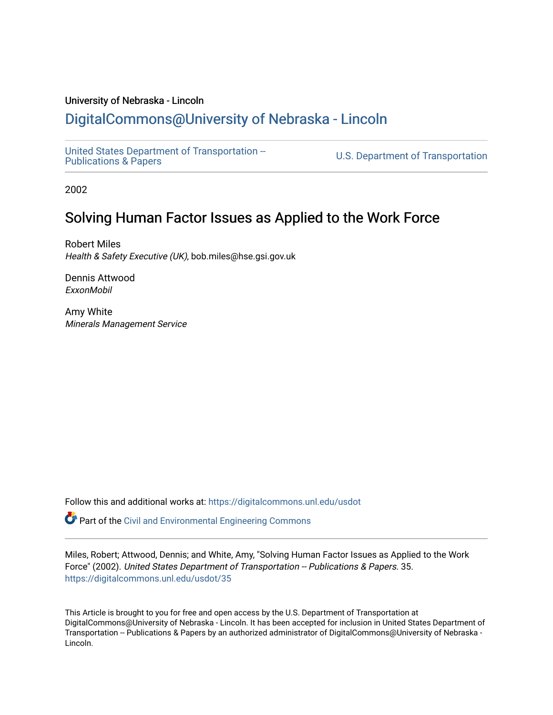#### University of Nebraska - Lincoln

# [DigitalCommons@University of Nebraska - Lincoln](https://digitalcommons.unl.edu/)

[United States Department of Transportation --](https://digitalcommons.unl.edu/usdot)<br>Publications & Papers

U.S. Department of Transportation

2002

# Solving Human Factor Issues as Applied to the Work Force

Robert Miles Health & Safety Executive (UK), bob.miles@hse.gsi.gov.uk

Dennis Attwood ExxonMobil

Amy White Minerals Management Service

Follow this and additional works at: [https://digitalcommons.unl.edu/usdot](https://digitalcommons.unl.edu/usdot?utm_source=digitalcommons.unl.edu%2Fusdot%2F35&utm_medium=PDF&utm_campaign=PDFCoverPages) 

Part of the [Civil and Environmental Engineering Commons](http://network.bepress.com/hgg/discipline/251?utm_source=digitalcommons.unl.edu%2Fusdot%2F35&utm_medium=PDF&utm_campaign=PDFCoverPages)

Miles, Robert; Attwood, Dennis; and White, Amy, "Solving Human Factor Issues as Applied to the Work Force" (2002). United States Department of Transportation -- Publications & Papers. 35. [https://digitalcommons.unl.edu/usdot/35](https://digitalcommons.unl.edu/usdot/35?utm_source=digitalcommons.unl.edu%2Fusdot%2F35&utm_medium=PDF&utm_campaign=PDFCoverPages)

This Article is brought to you for free and open access by the U.S. Department of Transportation at DigitalCommons@University of Nebraska - Lincoln. It has been accepted for inclusion in United States Department of Transportation -- Publications & Papers by an authorized administrator of DigitalCommons@University of Nebraska -Lincoln.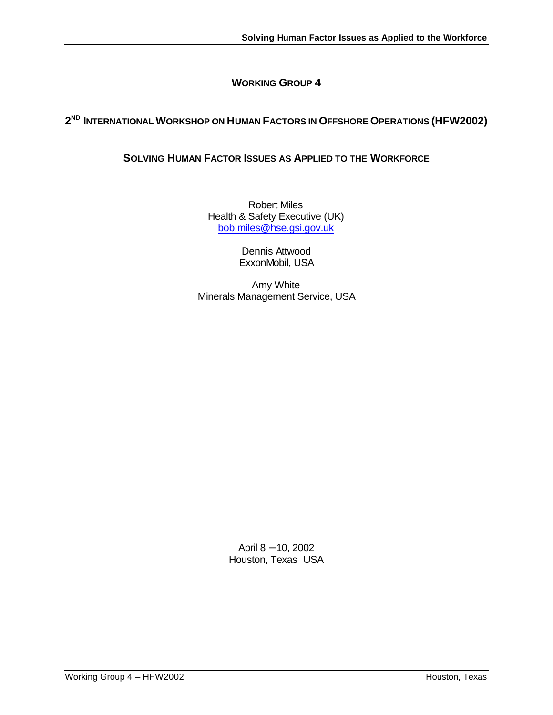# **WORKING GROUP 4**

# **2 ND INTERNATIONAL WORKSHOP ON HUMAN FACTORS IN OFFSHORE OPERATIONS (HFW2002)**

# **SOLVING HUMAN FACTOR ISSUES AS APPLIED TO THE WORKFORCE**

Robert Miles Health & Safety Executive (UK) bob.miles@hse.gsi.gov.uk

> Dennis Attwood ExxonMobil, USA

Amy White Minerals Management Service, USA

> April 8 − 10, 2002 Houston, Texas USA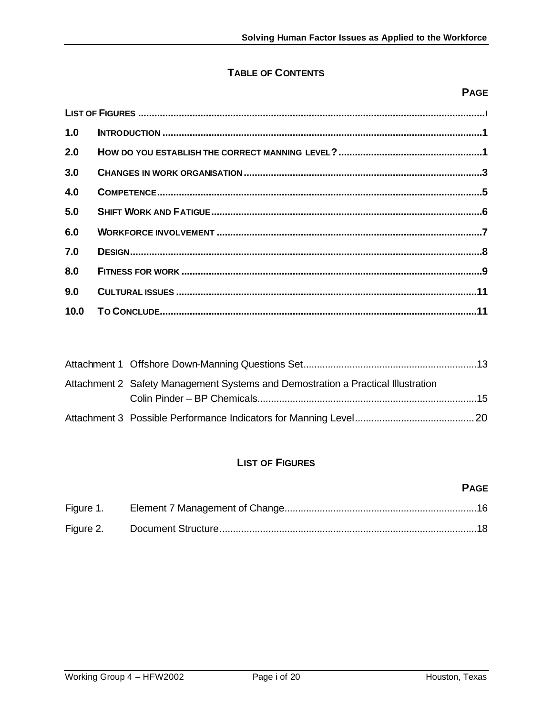# **TABLE OF CONTENTS**

# **PAGE**

| 1.0 |  |  |  |  |
|-----|--|--|--|--|
| 2.0 |  |  |  |  |
| 3.0 |  |  |  |  |
| 4.0 |  |  |  |  |
| 5.0 |  |  |  |  |
| 6.0 |  |  |  |  |
| 7.0 |  |  |  |  |
| 8.0 |  |  |  |  |
| 9.0 |  |  |  |  |
|     |  |  |  |  |

| Attachment 2 Safety Management Systems and Demostration a Practical Illustration |  |
|----------------------------------------------------------------------------------|--|
|                                                                                  |  |
|                                                                                  |  |

# **LIST OF FIGURES**

### **PAGE**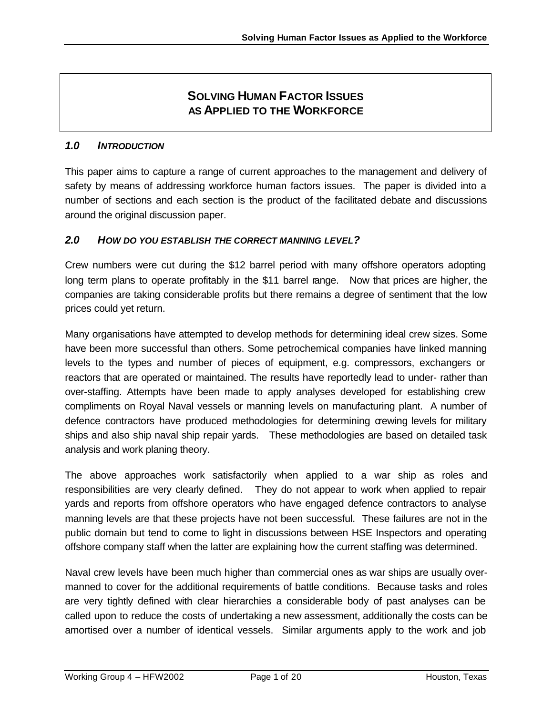# **SOLVING HUMAN FACTOR ISSUES AS APPLIED TO THE WORKFORCE**

### *1.0 INTRODUCTION*

This paper aims to capture a range of current approaches to the management and delivery of safety by means of addressing workforce human factors issues. The paper is divided into a number of sections and each section is the product of the facilitated debate and discussions around the original discussion paper.

### *2.0 HOW DO YOU ESTABLISH THE CORRECT MANNING LEVEL?*

Crew numbers were cut during the \$12 barrel period with many offshore operators adopting long term plans to operate profitably in the \$11 barrel range. Now that prices are higher, the companies are taking considerable profits but there remains a degree of sentiment that the low prices could yet return.

Many organisations have attempted to develop methods for determining ideal crew sizes. Some have been more successful than others. Some petrochemical companies have linked manning levels to the types and number of pieces of equipment, e.g. compressors, exchangers or reactors that are operated or maintained. The results have reportedly lead to under- rather than over-staffing. Attempts have been made to apply analyses developed for establishing crew compliments on Royal Naval vessels or manning levels on manufacturing plant. A number of defence contractors have produced methodologies for determining gewing levels for military ships and also ship naval ship repair yards. These methodologies are based on detailed task analysis and work planing theory.

The above approaches work satisfactorily when applied to a war ship as roles and responsibilities are very clearly defined. They do not appear to work when applied to repair yards and reports from offshore operators who have engaged defence contractors to analyse manning levels are that these projects have not been successful. These failures are not in the public domain but tend to come to light in discussions between HSE Inspectors and operating offshore company staff when the latter are explaining how the current staffing was determined.

Naval crew levels have been much higher than commercial ones as war ships are usually overmanned to cover for the additional requirements of battle conditions. Because tasks and roles are very tightly defined with clear hierarchies a considerable body of past analyses can be called upon to reduce the costs of undertaking a new assessment, additionally the costs can be amortised over a number of identical vessels. Similar arguments apply to the work and job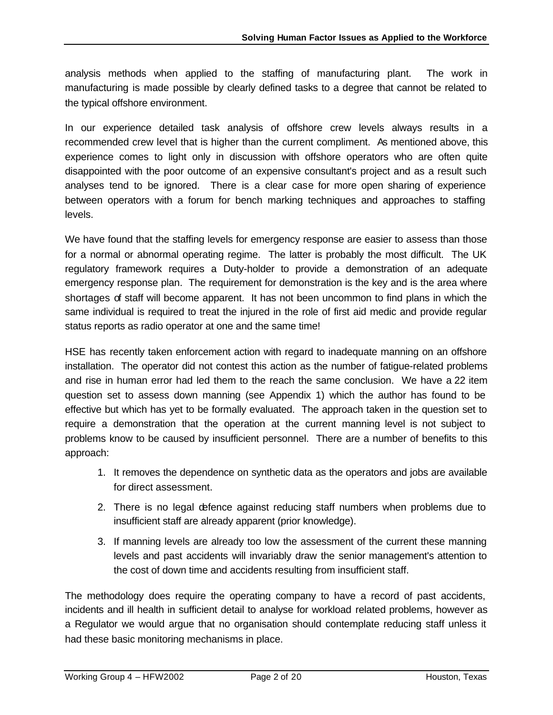analysis methods when applied to the staffing of manufacturing plant. The work in manufacturing is made possible by clearly defined tasks to a degree that cannot be related to the typical offshore environment.

In our experience detailed task analysis of offshore crew levels always results in a recommended crew level that is higher than the current compliment. As mentioned above, this experience comes to light only in discussion with offshore operators who are often quite disappointed with the poor outcome of an expensive consultant's project and as a result such analyses tend to be ignored. There is a clear case for more open sharing of experience between operators with a forum for bench marking techniques and approaches to staffing levels.

We have found that the staffing levels for emergency response are easier to assess than those for a normal or abnormal operating regime. The latter is probably the most difficult. The UK regulatory framework requires a Duty-holder to provide a demonstration of an adequate emergency response plan. The requirement for demonstration is the key and is the area where shortages of staff will become apparent. It has not been uncommon to find plans in which the same individual is required to treat the injured in the role of first aid medic and provide regular status reports as radio operator at one and the same time!

HSE has recently taken enforcement action with regard to inadequate manning on an offshore installation. The operator did not contest this action as the number of fatigue-related problems and rise in human error had led them to the reach the same conclusion. We have a 22 item question set to assess down manning (see Appendix 1) which the author has found to be effective but which has yet to be formally evaluated. The approach taken in the question set to require a demonstration that the operation at the current manning level is not subject to problems know to be caused by insufficient personnel. There are a number of benefits to this approach:

- 1. It removes the dependence on synthetic data as the operators and jobs are available for direct assessment.
- 2. There is no legal defence against reducing staff numbers when problems due to insufficient staff are already apparent (prior knowledge).
- 3. If manning levels are already too low the assessment of the current these manning levels and past accidents will invariably draw the senior management's attention to the cost of down time and accidents resulting from insufficient staff.

The methodology does require the operating company to have a record of past accidents, incidents and ill health in sufficient detail to analyse for workload related problems, however as a Regulator we would argue that no organisation should contemplate reducing staff unless it had these basic monitoring mechanisms in place.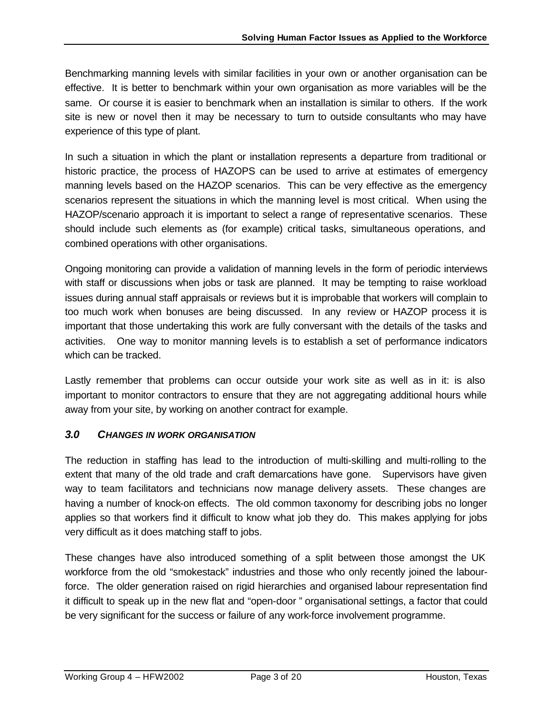Benchmarking manning levels with similar facilities in your own or another organisation can be effective. It is better to benchmark within your own organisation as more variables will be the same. Or course it is easier to benchmark when an installation is similar to others. If the work site is new or novel then it may be necessary to turn to outside consultants who may have experience of this type of plant.

In such a situation in which the plant or installation represents a departure from traditional or historic practice, the process of HAZOPS can be used to arrive at estimates of emergency manning levels based on the HAZOP scenarios. This can be very effective as the emergency scenarios represent the situations in which the manning level is most critical. When using the HAZOP/scenario approach it is important to select a range of representative scenarios. These should include such elements as (for example) critical tasks, simultaneous operations, and combined operations with other organisations.

Ongoing monitoring can provide a validation of manning levels in the form of periodic interviews with staff or discussions when jobs or task are planned. It may be tempting to raise workload issues during annual staff appraisals or reviews but it is improbable that workers will complain to too much work when bonuses are being discussed. In any review or HAZOP process it is important that those undertaking this work are fully conversant with the details of the tasks and activities. One way to monitor manning levels is to establish a set of performance indicators which can be tracked.

Lastly remember that problems can occur outside your work site as well as in it: is also important to monitor contractors to ensure that they are not aggregating additional hours while away from your site, by working on another contract for example.

### *3.0 CHANGES IN WORK ORGANISATION*

The reduction in staffing has lead to the introduction of multi-skilling and multi-rolling to the extent that many of the old trade and craft demarcations have gone. Supervisors have given way to team facilitators and technicians now manage delivery assets. These changes are having a number of knock-on effects. The old common taxonomy for describing jobs no longer applies so that workers find it difficult to know what job they do. This makes applying for jobs very difficult as it does matching staff to jobs.

These changes have also introduced something of a split between those amongst the UK workforce from the old "smokestack" industries and those who only recently joined the labourforce. The older generation raised on rigid hierarchies and organised labour representation find it difficult to speak up in the new flat and "open-door " organisational settings, a factor that could be very significant for the success or failure of any work-force involvement programme.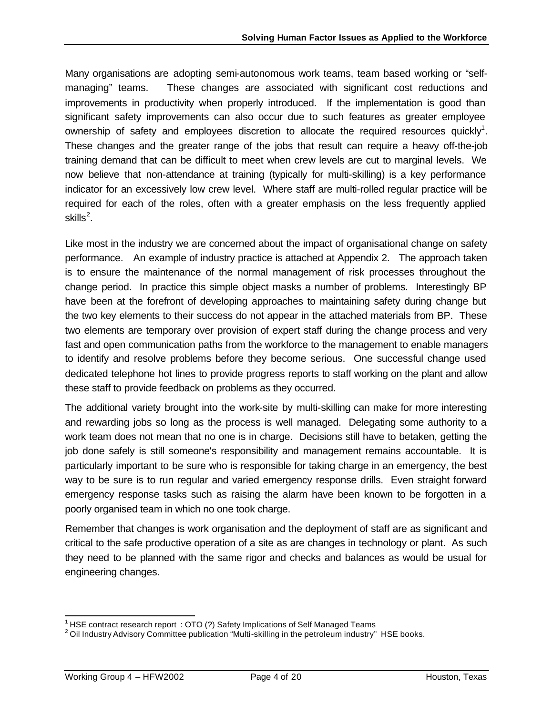Many organisations are adopting semi-autonomous work teams, team based working or "selfmanaging" teams. These changes are associated with significant cost reductions and improvements in productivity when properly introduced. If the implementation is good than significant safety improvements can also occur due to such features as greater employee ownership of safety and employees discretion to allocate the required resources quickly<sup>1</sup>. These changes and the greater range of the jobs that result can require a heavy off-the-job training demand that can be difficult to meet when crew levels are cut to marginal levels. We now believe that non-attendance at training (typically for multi-skilling) is a key performance indicator for an excessively low crew level. Where staff are multi-rolled regular practice will be required for each of the roles, often with a greater emphasis on the less frequently applied skills $^2$ .

Like most in the industry we are concerned about the impact of organisational change on safety performance. An example of industry practice is attached at Appendix 2. The approach taken is to ensure the maintenance of the normal management of risk processes throughout the change period. In practice this simple object masks a number of problems. Interestingly BP have been at the forefront of developing approaches to maintaining safety during change but the two key elements to their success do not appear in the attached materials from BP. These two elements are temporary over provision of expert staff during the change process and very fast and open communication paths from the workforce to the management to enable managers to identify and resolve problems before they become serious. One successful change used dedicated telephone hot lines to provide progress reports to staff working on the plant and allow these staff to provide feedback on problems as they occurred.

The additional variety brought into the work-site by multi-skilling can make for more interesting and rewarding jobs so long as the process is well managed. Delegating some authority to a work team does not mean that no one is in charge. Decisions still have to betaken, getting the job done safely is still someone's responsibility and management remains accountable. It is particularly important to be sure who is responsible for taking charge in an emergency, the best way to be sure is to run regular and varied emergency response drills. Even straight forward emergency response tasks such as raising the alarm have been known to be forgotten in a poorly organised team in which no one took charge.

Remember that changes is work organisation and the deployment of staff are as significant and critical to the safe productive operation of a site as are changes in technology or plant. As such they need to be planned with the same rigor and checks and balances as would be usual for engineering changes.

 $\overline{\phantom{a}}$ <sup>1</sup> HSE contract research report : OTO (?) Safety Implications of Self Managed Teams

 $2$  Oil Industry Advisory Committee publication "Multi-skilling in the petroleum industry" HSE books.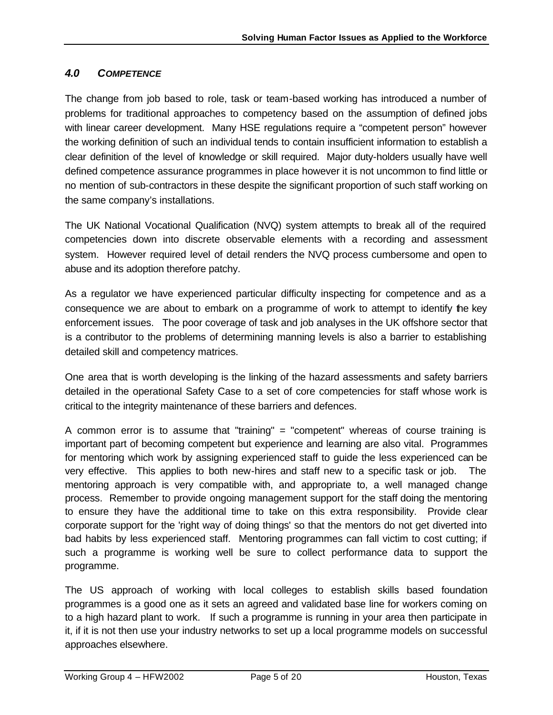# *4.0 COMPETENCE*

The change from job based to role, task or team-based working has introduced a number of problems for traditional approaches to competency based on the assumption of defined jobs with linear career development. Many HSE regulations require a "competent person" however the working definition of such an individual tends to contain insufficient information to establish a clear definition of the level of knowledge or skill required. Major duty-holders usually have well defined competence assurance programmes in place however it is not uncommon to find little or no mention of sub-contractors in these despite the significant proportion of such staff working on the same company's installations.

The UK National Vocational Qualification (NVQ) system attempts to break all of the required competencies down into discrete observable elements with a recording and assessment system. However required level of detail renders the NVQ process cumbersome and open to abuse and its adoption therefore patchy.

As a regulator we have experienced particular difficulty inspecting for competence and as a consequence we are about to embark on a programme of work to attempt to identify the key enforcement issues. The poor coverage of task and job analyses in the UK offshore sector that is a contributor to the problems of determining manning levels is also a barrier to establishing detailed skill and competency matrices.

One area that is worth developing is the linking of the hazard assessments and safety barriers detailed in the operational Safety Case to a set of core competencies for staff whose work is critical to the integrity maintenance of these barriers and defences.

A common error is to assume that "training" = "competent" whereas of course training is important part of becoming competent but experience and learning are also vital. Programmes for mentoring which work by assigning experienced staff to guide the less experienced can be very effective. This applies to both new-hires and staff new to a specific task or job. The mentoring approach is very compatible with, and appropriate to, a well managed change process. Remember to provide ongoing management support for the staff doing the mentoring to ensure they have the additional time to take on this extra responsibility. Provide clear corporate support for the 'right way of doing things' so that the mentors do not get diverted into bad habits by less experienced staff. Mentoring programmes can fall victim to cost cutting; if such a programme is working well be sure to collect performance data to support the programme.

The US approach of working with local colleges to establish skills based foundation programmes is a good one as it sets an agreed and validated base line for workers coming on to a high hazard plant to work. If such a programme is running in your area then participate in it, if it is not then use your industry networks to set up a local programme models on successful approaches elsewhere.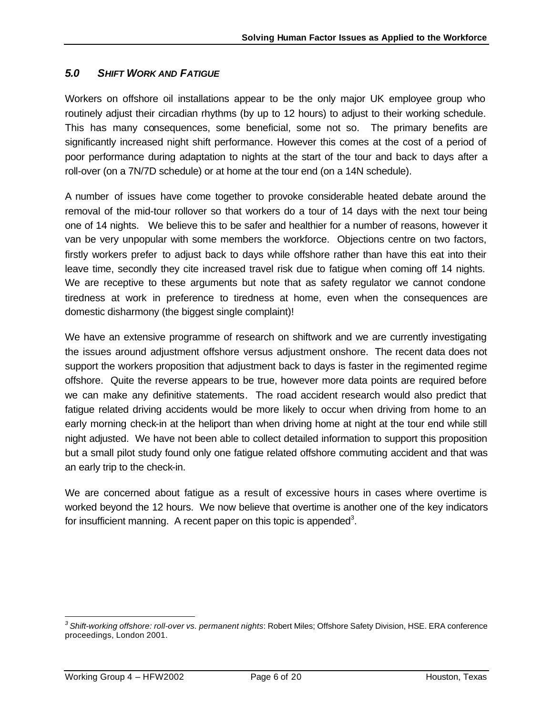# *5.0 SHIFT WORK AND FATIGUE*

Workers on offshore oil installations appear to be the only major UK employee group who routinely adjust their circadian rhythms (by up to 12 hours) to adjust to their working schedule. This has many consequences, some beneficial, some not so. The primary benefits are significantly increased night shift performance. However this comes at the cost of a period of poor performance during adaptation to nights at the start of the tour and back to days after a roll-over (on a 7N/7D schedule) or at home at the tour end (on a 14N schedule).

A number of issues have come together to provoke considerable heated debate around the removal of the mid-tour rollover so that workers do a tour of 14 days with the next tour being one of 14 nights. We believe this to be safer and healthier for a number of reasons, however it van be very unpopular with some members the workforce. Objections centre on two factors, firstly workers prefer to adjust back to days while offshore rather than have this eat into their leave time, secondly they cite increased travel risk due to fatigue when coming off 14 nights. We are receptive to these arguments but note that as safety regulator we cannot condone tiredness at work in preference to tiredness at home, even when the consequences are domestic disharmony (the biggest single complaint)!

We have an extensive programme of research on shiftwork and we are currently investigating the issues around adjustment offshore versus adjustment onshore. The recent data does not support the workers proposition that adjustment back to days is faster in the regimented regime offshore. Quite the reverse appears to be true, however more data points are required before we can make any definitive statements. The road accident research would also predict that fatigue related driving accidents would be more likely to occur when driving from home to an early morning check-in at the heliport than when driving home at night at the tour end while still night adjusted. We have not been able to collect detailed information to support this proposition but a small pilot study found only one fatigue related offshore commuting accident and that was an early trip to the check-in.

We are concerned about fatigue as a result of excessive hours in cases where overtime is worked beyond the 12 hours. We now believe that overtime is another one of the key indicators for insufficient manning. A recent paper on this topic is appended<sup>3</sup>.

 $\overline{a}$ 

*<sup>3</sup> Shift-working offshore: roll-over vs. permanent nights*: Robert Miles; Offshore Safety Division, HSE. ERA conference proceedings, London 2001.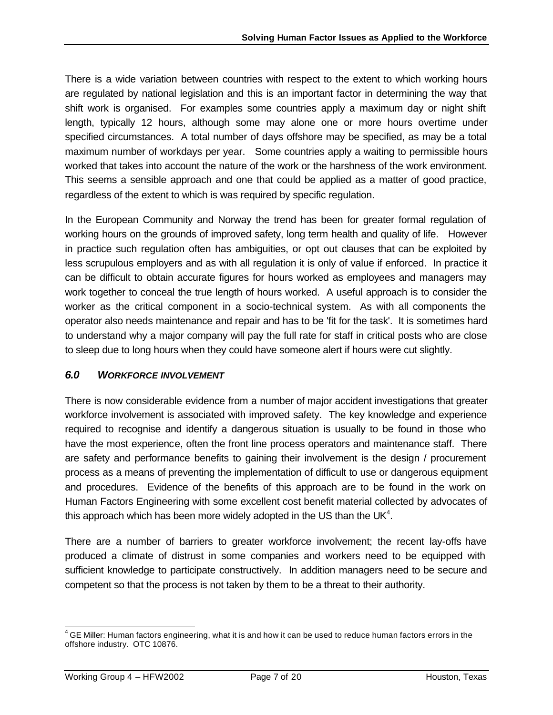There is a wide variation between countries with respect to the extent to which working hours are regulated by national legislation and this is an important factor in determining the way that shift work is organised. For examples some countries apply a maximum day or night shift length, typically 12 hours, although some may alone one or more hours overtime under specified circumstances. A total number of days offshore may be specified, as may be a total maximum number of workdays per year. Some countries apply a waiting to permissible hours worked that takes into account the nature of the work or the harshness of the work environment. This seems a sensible approach and one that could be applied as a matter of good practice, regardless of the extent to which is was required by specific regulation.

In the European Community and Norway the trend has been for greater formal regulation of working hours on the grounds of improved safety, long term health and quality of life. However in practice such regulation often has ambiguities, or opt out clauses that can be exploited by less scrupulous employers and as with all regulation it is only of value if enforced. In practice it can be difficult to obtain accurate figures for hours worked as employees and managers may work together to conceal the true length of hours worked. A useful approach is to consider the worker as the critical component in a socio-technical system. As with all components the operator also needs maintenance and repair and has to be 'fit for the task'. It is sometimes hard to understand why a major company will pay the full rate for staff in critical posts who are close to sleep due to long hours when they could have someone alert if hours were cut slightly.

### *6.0 WORKFORCE INVOLVEMENT*

There is now considerable evidence from a number of major accident investigations that greater workforce involvement is associated with improved safety. The key knowledge and experience required to recognise and identify a dangerous situation is usually to be found in those who have the most experience, often the front line process operators and maintenance staff. There are safety and performance benefits to gaining their involvement is the design / procurement process as a means of preventing the implementation of difficult to use or dangerous equipment and procedures. Evidence of the benefits of this approach are to be found in the work on Human Factors Engineering with some excellent cost benefit material collected by advocates of this approach which has been more widely adopted in the US than the UK<sup>4</sup>.

There are a number of barriers to greater workforce involvement; the recent lay-offs have produced a climate of distrust in some companies and workers need to be equipped with sufficient knowledge to participate constructively. In addition managers need to be secure and competent so that the process is not taken by them to be a threat to their authority.

 4 GE Miller: Human factors engineering, what it is and how it can be used to reduce human factors errors in the offshore industry. OTC 10876.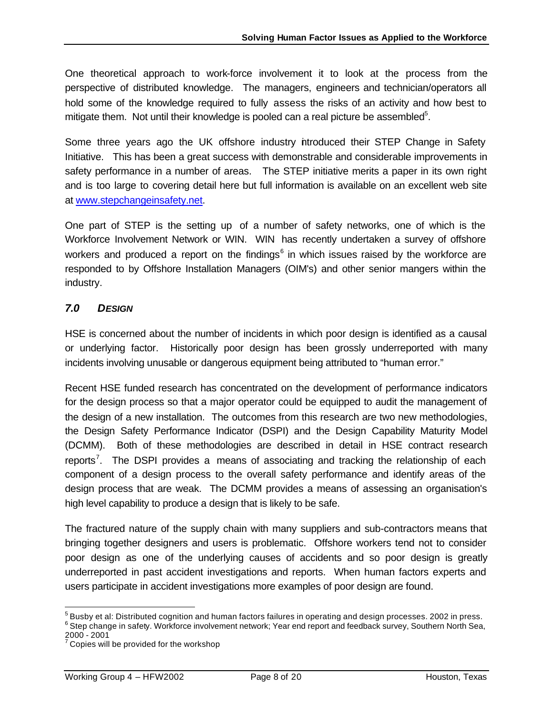One theoretical approach to work-force involvement it to look at the process from the perspective of distributed knowledge. The managers, engineers and technician/operators all hold some of the knowledge required to fully assess the risks of an activity and how best to mitigate them. Not until their knowledge is pooled can a real picture be assembled $5$ .

Some three years ago the UK offshore industry introduced their STEP Change in Safety Initiative. This has been a great success with demonstrable and considerable improvements in safety performance in a number of areas. The STEP initiative merits a paper in its own right and is too large to covering detail here but full information is available on an excellent web site at www.stepchangeinsafety.net.

One part of STEP is the setting up of a number of safety networks, one of which is the Workforce Involvement Network or WIN. WIN has recently undertaken a survey of offshore workers and produced a report on the findings $<sup>6</sup>$  in which issues raised by the workforce are</sup> responded to by Offshore Installation Managers (OIM's) and other senior mangers within the industry.

# *7.0 DESIGN*

HSE is concerned about the number of incidents in which poor design is identified as a causal or underlying factor. Historically poor design has been grossly underreported with many incidents involving unusable or dangerous equipment being attributed to "human error."

Recent HSE funded research has concentrated on the development of performance indicators for the design process so that a major operator could be equipped to audit the management of the design of a new installation. The outcomes from this research are two new methodologies, the Design Safety Performance Indicator (DSPI) and the Design Capability Maturity Model (DCMM). Both of these methodologies are described in detail in HSE contract research reports<sup>7</sup>. The DSPI provides a means of associating and tracking the relationship of each component of a design process to the overall safety performance and identify areas of the design process that are weak. The DCMM provides a means of assessing an organisation's high level capability to produce a design that is likely to be safe.

The fractured nature of the supply chain with many suppliers and sub-contractors means that bringing together designers and users is problematic. Offshore workers tend not to consider poor design as one of the underlying causes of accidents and so poor design is greatly underreported in past accident investigations and reports. When human factors experts and users participate in accident investigations more examples of poor design are found.

 5 Busby et al: Distributed cognition and human factors failures in operating and design processes. 2002 in press. <sup>6</sup> Step change in safety. Workforce involvement network; Year end report and feedback survey, Southern North Sea,

<sup>2000 - 2001&</sup>lt;br><sup>7</sup> Copies will be provided for the workshop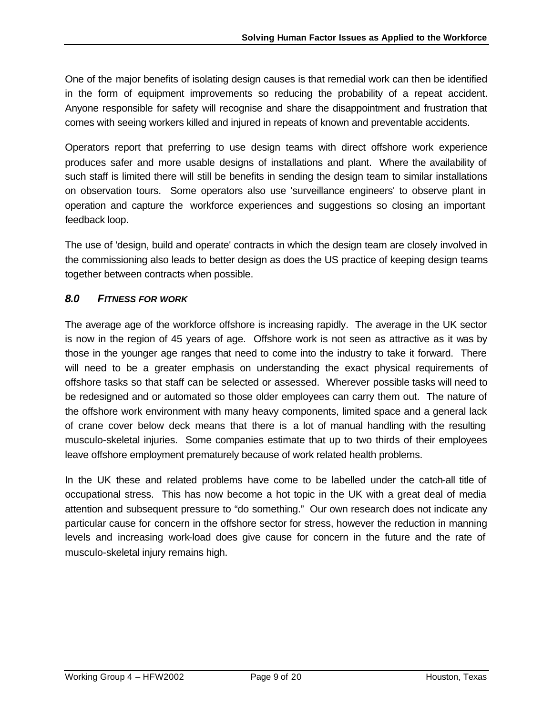One of the major benefits of isolating design causes is that remedial work can then be identified in the form of equipment improvements so reducing the probability of a repeat accident. Anyone responsible for safety will recognise and share the disappointment and frustration that comes with seeing workers killed and injured in repeats of known and preventable accidents.

Operators report that preferring to use design teams with direct offshore work experience produces safer and more usable designs of installations and plant. Where the availability of such staff is limited there will still be benefits in sending the design team to similar installations on observation tours. Some operators also use 'surveillance engineers' to observe plant in operation and capture the workforce experiences and suggestions so closing an important feedback loop.

The use of 'design, build and operate' contracts in which the design team are closely involved in the commissioning also leads to better design as does the US practice of keeping design teams together between contracts when possible.

# *8.0 FITNESS FOR WORK*

The average age of the workforce offshore is increasing rapidly. The average in the UK sector is now in the region of 45 years of age. Offshore work is not seen as attractive as it was by those in the younger age ranges that need to come into the industry to take it forward. There will need to be a greater emphasis on understanding the exact physical requirements of offshore tasks so that staff can be selected or assessed. Wherever possible tasks will need to be redesigned and or automated so those older employees can carry them out. The nature of the offshore work environment with many heavy components, limited space and a general lack of crane cover below deck means that there is a lot of manual handling with the resulting musculo-skeletal injuries. Some companies estimate that up to two thirds of their employees leave offshore employment prematurely because of work related health problems.

In the UK these and related problems have come to be labelled under the catch-all title of occupational stress. This has now become a hot topic in the UK with a great deal of media attention and subsequent pressure to "do something." Our own research does not indicate any particular cause for concern in the offshore sector for stress, however the reduction in manning levels and increasing work-load does give cause for concern in the future and the rate of musculo-skeletal injury remains high.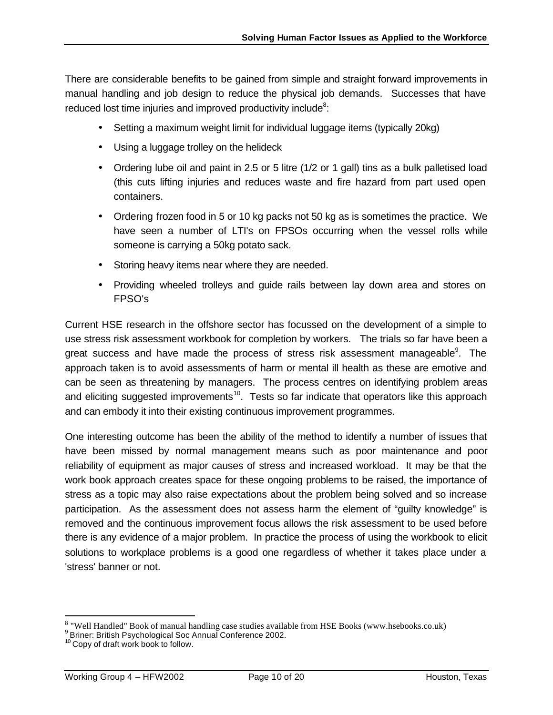There are considerable benefits to be gained from simple and straight forward improvements in manual handling and job design to reduce the physical job demands. Successes that have reduced lost time injuries and improved productivity include<sup>8</sup>:

- Setting a maximum weight limit for individual luggage items (typically 20kg)
- Using a luggage trolley on the helideck
- Ordering lube oil and paint in 2.5 or 5 litre (1/2 or 1 gall) tins as a bulk palletised load (this cuts lifting injuries and reduces waste and fire hazard from part used open containers.
- Ordering frozen food in 5 or 10 kg packs not 50 kg as is sometimes the practice. We have seen a number of LTI's on FPSOs occurring when the vessel rolls while someone is carrying a 50kg potato sack.
- Storing heavy items near where they are needed.
- Providing wheeled trolleys and guide rails between lay down area and stores on FPSO's

Current HSE research in the offshore sector has focussed on the development of a simple to use stress risk assessment workbook for completion by workers. The trials so far have been a great success and have made the process of stress risk assessment manageable<sup>9</sup>. The approach taken is to avoid assessments of harm or mental ill health as these are emotive and can be seen as threatening by managers. The process centres on identifying problem areas and eliciting suggested improvements<sup>10</sup>. Tests so far indicate that operators like this approach and can embody it into their existing continuous improvement programmes.

One interesting outcome has been the ability of the method to identify a number of issues that have been missed by normal management means such as poor maintenance and poor reliability of equipment as major causes of stress and increased workload. It may be that the work book approach creates space for these ongoing problems to be raised, the importance of stress as a topic may also raise expectations about the problem being solved and so increase participation. As the assessment does not assess harm the element of "guilty knowledge" is removed and the continuous improvement focus allows the risk assessment to be used before there is any evidence of a major problem. In practice the process of using the workbook to elicit solutions to workplace problems is a good one regardless of whether it takes place under a 'stress' banner or not.

enderstaandie († 1830).<br>18 august – Well Handled" Book of manual handling case studies available from HSE Books (www.hsebooks.co.uk)<br>19 Briner: British Psychological Soc Annual Conference 2002.

<sup>&</sup>lt;sup>10</sup> Copy of draft work book to follow.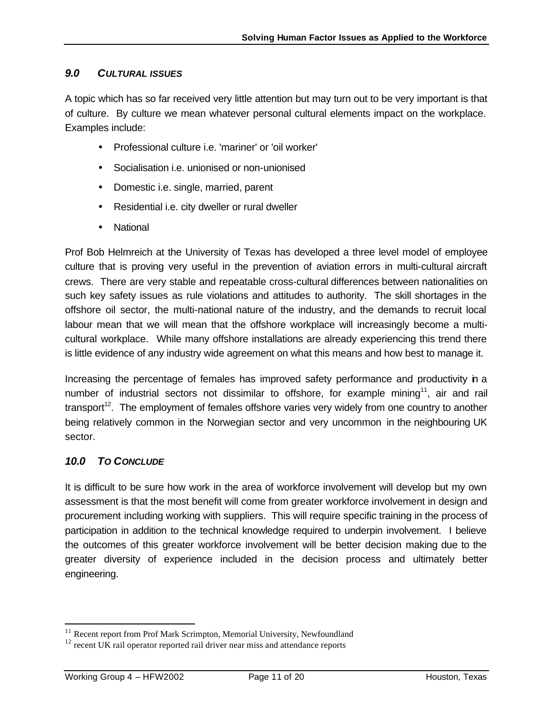### *9.0 CULTURAL ISSUES*

A topic which has so far received very little attention but may turn out to be very important is that of culture. By culture we mean whatever personal cultural elements impact on the workplace. Examples include:

- Professional culture i.e. 'mariner' or 'oil worker'
- Socialisation i.e. unionised or non-unionised
- Domestic i.e. single, married, parent
- Residential i.e. city dweller or rural dweller
- National

Prof Bob Helmreich at the University of Texas has developed a three level model of employee culture that is proving very useful in the prevention of aviation errors in multi-cultural aircraft crews. There are very stable and repeatable cross-cultural differences between nationalities on such key safety issues as rule violations and attitudes to authority. The skill shortages in the offshore oil sector, the multi-national nature of the industry, and the demands to recruit local labour mean that we will mean that the offshore workplace will increasingly become a multicultural workplace. While many offshore installations are already experiencing this trend there is little evidence of any industry wide agreement on what this means and how best to manage it.

Increasing the percentage of females has improved safety performance and productivity in a number of industrial sectors not dissimilar to offshore, for example mining<sup>11</sup>, air and rail transport<sup>12</sup>. The employment of females offshore varies very widely from one country to another being relatively common in the Norwegian sector and very uncommon in the neighbouring UK sector.

### *10.0 TO CONCLUDE*

It is difficult to be sure how work in the area of workforce involvement will develop but my own assessment is that the most benefit will come from greater workforce involvement in design and procurement including working with suppliers. This will require specific training in the process of participation in addition to the technical knowledge required to underpin involvement. I believe the outcomes of this greater workforce involvement will be better decision making due to the greater diversity of experience included in the decision process and ultimately better engineering.

 $\overline{a}$ 

<sup>&</sup>lt;sup>11</sup> Recent report from Prof Mark Scrimpton, Memorial University, Newfoundland

 $12$  recent UK rail operator reported rail driver near miss and attendance reports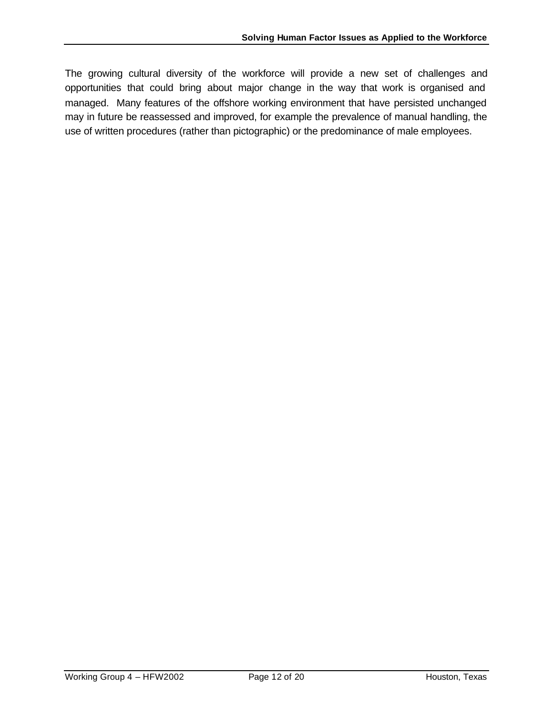The growing cultural diversity of the workforce will provide a new set of challenges and opportunities that could bring about major change in the way that work is organised and managed. Many features of the offshore working environment that have persisted unchanged may in future be reassessed and improved, for example the prevalence of manual handling, the use of written procedures (rather than pictographic) or the predominance of male employees.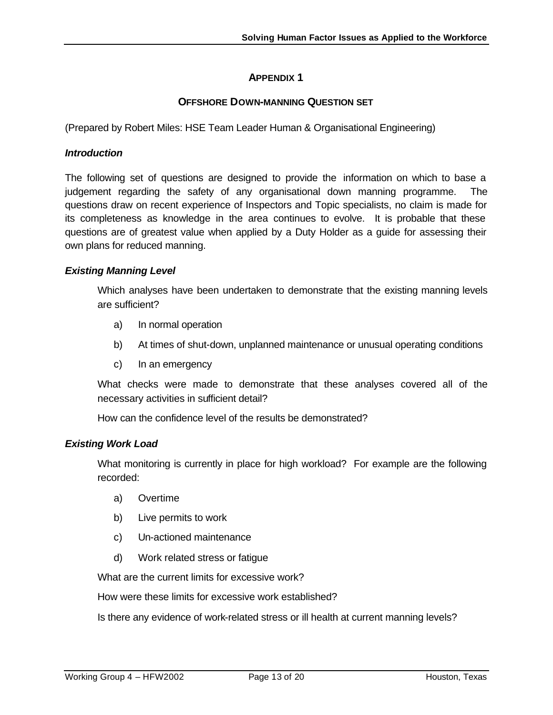# **APPENDIX 1**

### **OFFSHORE DOWN-MANNING QUESTION SET**

(Prepared by Robert Miles: HSE Team Leader Human & Organisational Engineering)

#### *Introduction*

The following set of questions are designed to provide the information on which to base a judgement regarding the safety of any organisational down manning programme. The questions draw on recent experience of Inspectors and Topic specialists, no claim is made for its completeness as knowledge in the area continues to evolve. It is probable that these questions are of greatest value when applied by a Duty Holder as a guide for assessing their own plans for reduced manning.

### *Existing Manning Level*

Which analyses have been undertaken to demonstrate that the existing manning levels are sufficient?

- a) In normal operation
- b) At times of shut-down, unplanned maintenance or unusual operating conditions
- c) In an emergency

What checks were made to demonstrate that these analyses covered all of the necessary activities in sufficient detail?

How can the confidence level of the results be demonstrated?

### *Existing Work Load*

What monitoring is currently in place for high workload? For example are the following recorded:

- a) Overtime
- b) Live permits to work
- c) Un-actioned maintenance
- d) Work related stress or fatigue

What are the current limits for excessive work?

How were these limits for excessive work established?

Is there any evidence of work-related stress or ill health at current manning levels?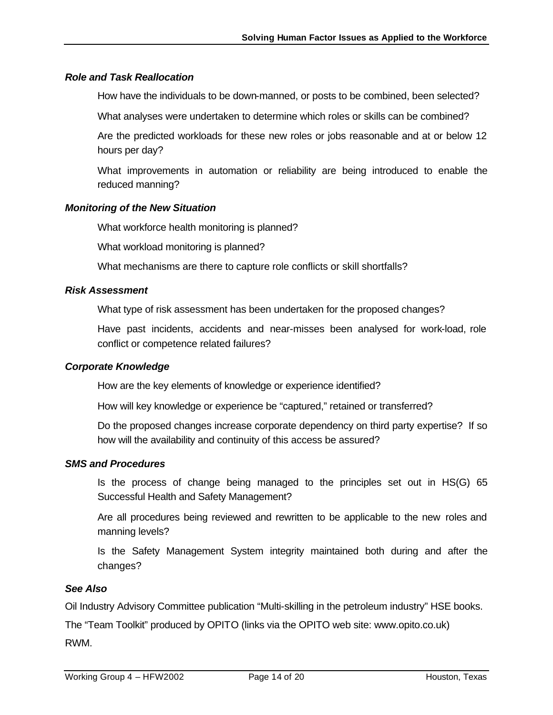### *Role and Task Reallocation*

How have the individuals to be down-manned, or posts to be combined, been selected?

What analyses were undertaken to determine which roles or skills can be combined?

Are the predicted workloads for these new roles or jobs reasonable and at or below 12 hours per day?

What improvements in automation or reliability are being introduced to enable the reduced manning?

#### *Monitoring of the New Situation*

What workforce health monitoring is planned?

What workload monitoring is planned?

What mechanisms are there to capture role conflicts or skill shortfalls?

#### *Risk Assessment*

What type of risk assessment has been undertaken for the proposed changes?

Have past incidents, accidents and near-misses been analysed for work-load, role conflict or competence related failures?

#### *Corporate Knowledge*

How are the key elements of knowledge or experience identified?

How will key knowledge or experience be "captured," retained or transferred?

Do the proposed changes increase corporate dependency on third party expertise? If so how will the availability and continuity of this access be assured?

#### *SMS and Procedures*

Is the process of change being managed to the principles set out in HS(G) 65 Successful Health and Safety Management?

Are all procedures being reviewed and rewritten to be applicable to the new roles and manning levels?

Is the Safety Management System integrity maintained both during and after the changes?

#### *See Also*

Oil Industry Advisory Committee publication "Multi-skilling in the petroleum industry" HSE books.

The "Team Toolkit" produced by OPITO (links via the OPITO web site: www.opito.co.uk) RWM.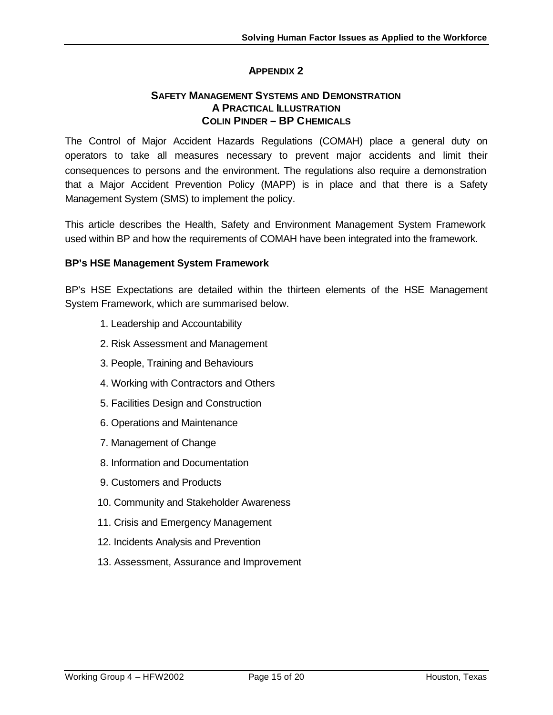### **APPENDIX 2**

### **SAFETY MANAGEMENT SYSTEMS AND DEMONSTRATION A PRACTICAL ILLUSTRATION COLIN PINDER – BP CHEMICALS**

The Control of Major Accident Hazards Regulations (COMAH) place a general duty on operators to take all measures necessary to prevent major accidents and limit their consequences to persons and the environment. The regulations also require a demonstration that a Major Accident Prevention Policy (MAPP) is in place and that there is a Safety Management System (SMS) to implement the policy.

This article describes the Health, Safety and Environment Management System Framework used within BP and how the requirements of COMAH have been integrated into the framework.

### **BP's HSE Management System Framework**

BP's HSE Expectations are detailed within the thirteen elements of the HSE Management System Framework, which are summarised below.

- 1. Leadership and Accountability
- 2. Risk Assessment and Management
- 3. People, Training and Behaviours
- 4. Working with Contractors and Others
- 5. Facilities Design and Construction
- 6. Operations and Maintenance
- 7. Management of Change
- 8. Information and Documentation
- 9. Customers and Products
- 10. Community and Stakeholder Awareness
- 11. Crisis and Emergency Management
- 12. Incidents Analysis and Prevention
- 13. Assessment, Assurance and Improvement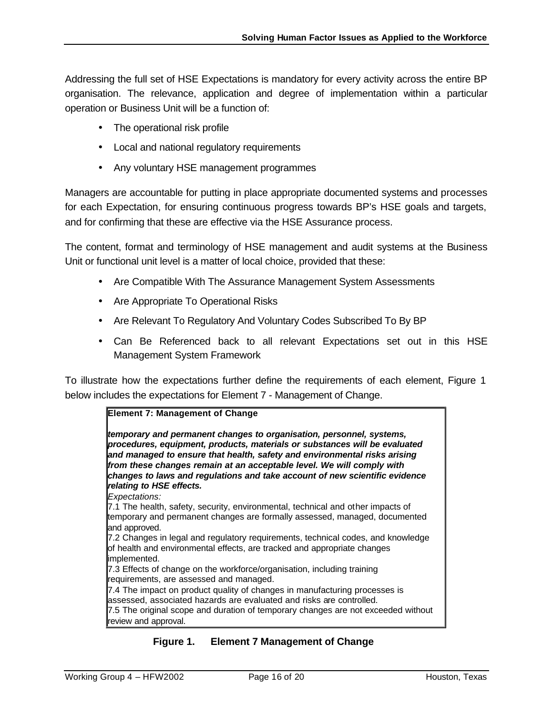Addressing the full set of HSE Expectations is mandatory for every activity across the entire BP organisation. The relevance, application and degree of implementation within a particular operation or Business Unit will be a function of:

- The operational risk profile
- Local and national regulatory requirements
- Any voluntary HSE management programmes

Managers are accountable for putting in place appropriate documented systems and processes for each Expectation, for ensuring continuous progress towards BP's HSE goals and targets, and for confirming that these are effective via the HSE Assurance process.

The content, format and terminology of HSE management and audit systems at the Business Unit or functional unit level is a matter of local choice, provided that these:

- Are Compatible With The Assurance Management System Assessments
- Are Appropriate To Operational Risks
- Are Relevant To Regulatory And Voluntary Codes Subscribed To By BP
- Can Be Referenced back to all relevant Expectations set out in this HSE Management System Framework

To illustrate how the expectations further define the requirements of each element, Figure 1 below includes the expectations for Element 7 - Management of Change.

# **Element 7: Management of Change**

*temporary and permanent changes to organisation, personnel, systems, procedures, equipment, products, materials or substances will be evaluated and managed to ensure that health, safety and environmental risks arising from these changes remain at an acceptable level. We will comply with changes to laws and regulations and take account of new scientific evidence relating to HSE effects.*

*Expectations:*

7.1 The health, safety, security, environmental, technical and other impacts of temporary and permanent changes are formally assessed, managed, documented and approved.

7.2 Changes in legal and regulatory requirements, technical codes, and knowledge of health and environmental effects, are tracked and appropriate changes implemented.

7.3 Effects of change on the workforce/organisation, including training requirements, are assessed and managed.

7.4 The impact on product quality of changes in manufacturing processes is assessed, associated hazards are evaluated and risks are controlled. 7.5 The original scope and duration of temporary changes are not exceeded without review and approval.

### **Figure 1. Element 7 Management of Change**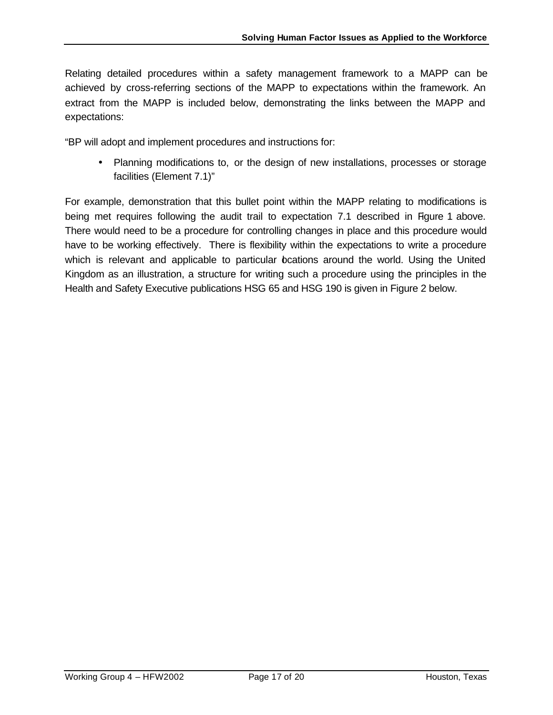Relating detailed procedures within a safety management framework to a MAPP can be achieved by cross-referring sections of the MAPP to expectations within the framework. An extract from the MAPP is included below, demonstrating the links between the MAPP and expectations:

"BP will adopt and implement procedures and instructions for:

• Planning modifications to, or the design of new installations, processes or storage facilities (Element 7.1)"

For example, demonstration that this bullet point within the MAPP relating to modifications is being met requires following the audit trail to expectation 7.1 described in Figure 1 above. There would need to be a procedure for controlling changes in place and this procedure would have to be working effectively. There is flexibility within the expectations to write a procedure which is relevant and applicable to particular beations around the world. Using the United Kingdom as an illustration, a structure for writing such a procedure using the principles in the Health and Safety Executive publications HSG 65 and HSG 190 is given in Figure 2 below.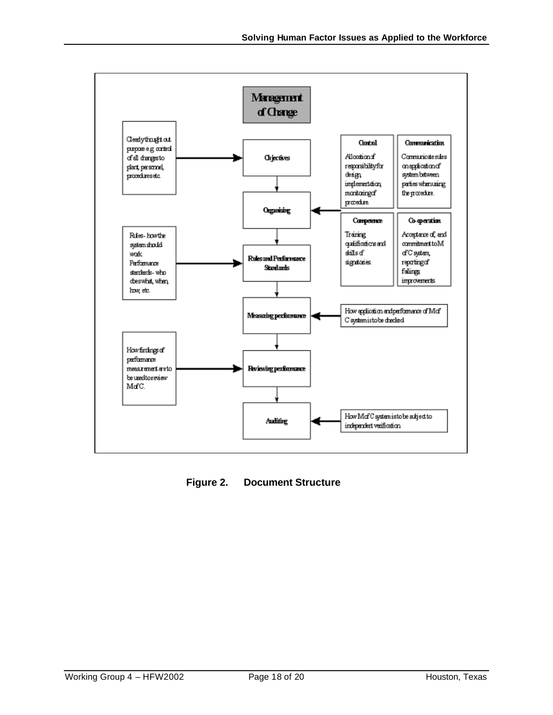

**Figure 2. Document Structure**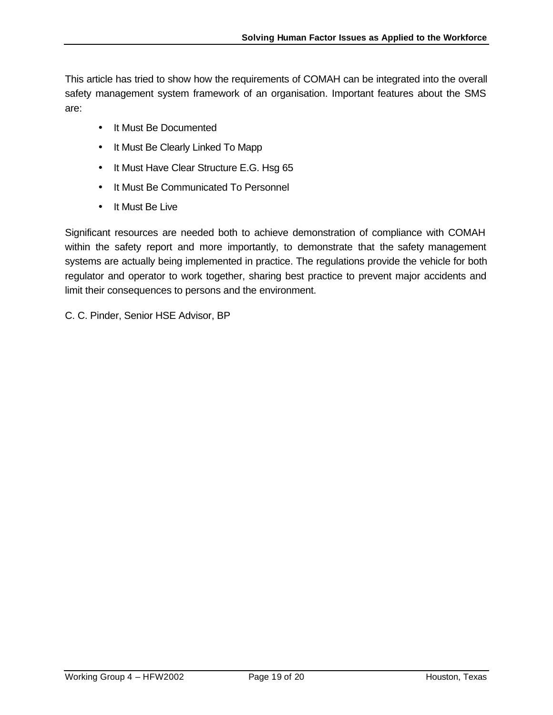This article has tried to show how the requirements of COMAH can be integrated into the overall safety management system framework of an organisation. Important features about the SMS are:

- It Must Be Documented
- It Must Be Clearly Linked To Mapp
- It Must Have Clear Structure E.G. Hsg 65
- It Must Be Communicated To Personnel
- It Must Be Live

Significant resources are needed both to achieve demonstration of compliance with COMAH within the safety report and more importantly, to demonstrate that the safety management systems are actually being implemented in practice. The regulations provide the vehicle for both regulator and operator to work together, sharing best practice to prevent major accidents and limit their consequences to persons and the environment.

C. C. Pinder, Senior HSE Advisor, BP